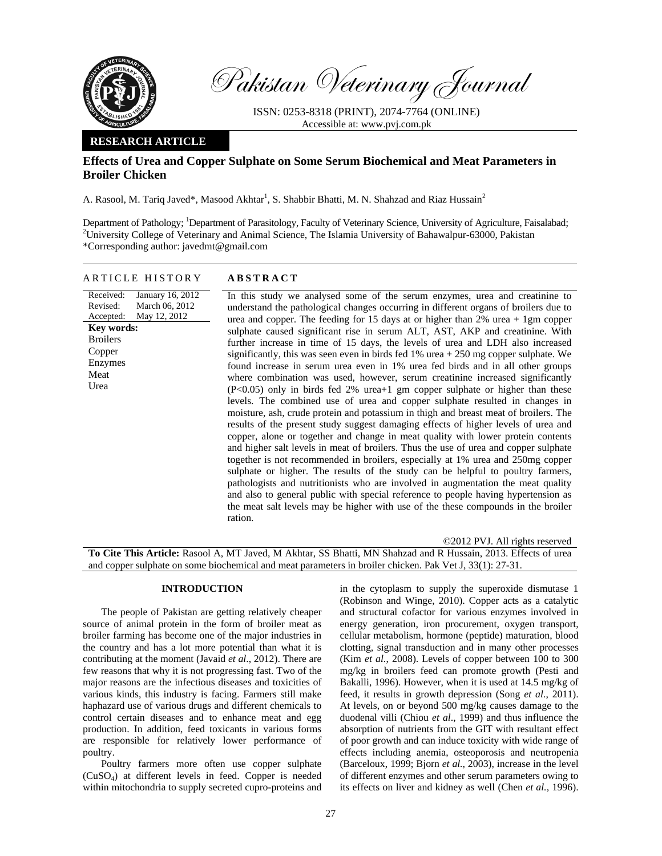

Received: Revised: Accepted:

**Key words:**  Broilers Copper Enzymes Meat Urea

Pakistan Veterinary Journal

ISSN: 0253-8318 (PRINT), 2074-7764 (ONLINE) Accessible at: www.pvj.com.pk

## **RESEARCH ARTICLE**

# **Effects of Urea and Copper Sulphate on Some Serum Biochemical and Meat Parameters in Broiler Chicken**

A. Rasool, M. Tariq Javed\*, Masood Akhtar<sup>1</sup>, S. Shabbir Bhatti, M. N. Shahzad and Riaz Hussain<sup>2</sup>

Department of Pathology; <sup>1</sup>Department of Parasitology, Faculty of Veterinary Science, University of Agriculture, Faisalabad;<br><sup>2</sup>University Colloge of Veterinary and Animal Science. The Islamic University of Pahayalpur 620 <sup>2</sup> University College of Veterinary and Animal Science, The Islamia University of Bahawalpur-63000, Pakistan \*Corresponding author: javedmt@gmail.com

## ARTICLE HISTORY **ABSTRACT**

January 16, 2012 March 06, 2012 May 12, 2012 In this study we analysed some of the serum enzymes, urea and creatinine to understand the pathological changes occurring in different organs of broilers due to urea and copper. The feeding for 15 days at or higher than 2% urea + 1gm copper sulphate caused significant rise in serum ALT, AST, AKP and creatinine. With further increase in time of 15 days, the levels of urea and LDH also increased significantly, this was seen even in birds fed  $1\%$  urea  $+ 250$  mg copper sulphate. We found increase in serum urea even in 1% urea fed birds and in all other groups where combination was used, however, serum creatinine increased significantly (P<0.05) only in birds fed 2% urea+1 gm copper sulphate or higher than these levels. The combined use of urea and copper sulphate resulted in changes in moisture, ash, crude protein and potassium in thigh and breast meat of broilers. The results of the present study suggest damaging effects of higher levels of urea and copper, alone or together and change in meat quality with lower protein contents and higher salt levels in meat of broilers. Thus the use of urea and copper sulphate together is not recommended in broilers, especially at 1% urea and 250mg copper sulphate or higher. The results of the study can be helpful to poultry farmers, pathologists and nutritionists who are involved in augmentation the meat quality and also to general public with special reference to people having hypertension as the meat salt levels may be higher with use of the these compounds in the broiler ration.

©2012 PVJ. All rights reserved

**To Cite This Article:** Rasool A, MT Javed, M Akhtar, SS Bhatti, MN Shahzad and R Hussain, 2013. Effects of urea and copper sulphate on some biochemical and meat parameters in broiler chicken. Pak Vet J, 33(1): 27-31.

## **INTRODUCTION**

The people of Pakistan are getting relatively cheaper source of animal protein in the form of broiler meat as broiler farming has become one of the major industries in the country and has a lot more potential than what it is contributing at the moment (Javaid *et al*., 2012). There are few reasons that why it is not progressing fast. Two of the major reasons are the infectious diseases and toxicities of various kinds, this industry is facing. Farmers still make haphazard use of various drugs and different chemicals to control certain diseases and to enhance meat and egg production. In addition, feed toxicants in various forms are responsible for relatively lower performance of poultry.

Poultry farmers more often use copper sulphate (CuSO4) at different levels in feed. Copper is needed within mitochondria to supply secreted cupro-proteins and in the cytoplasm to supply the superoxide dismutase 1 (Robinson and Winge, 2010). Copper acts as a catalytic and structural cofactor for various enzymes involved in energy generation, iron procurement, oxygen transport, cellular metabolism, hormone (peptide) maturation, blood clotting, signal transduction and in many other processes (Kim *et al.*, 2008). Levels of copper between 100 to 300 mg/kg in broilers feed can promote growth (Pesti and Bakalli, 1996). However, when it is used at 14.5 mg/kg of feed, it results in growth depression (Song *et al*., 2011). At levels, on or beyond 500 mg/kg causes damage to the duodenal villi (Chiou *et al*., 1999) and thus influence the absorption of nutrients from the GIT with resultant effect of poor growth and can induce toxicity with wide range of effects including anemia, osteoporosis and neutropenia (Barceloux, 1999; Bjorn *et al.,* 2003), increase in the level of different enzymes and other serum parameters owing to its effects on liver and kidney as well (Chen *et al.,* 1996).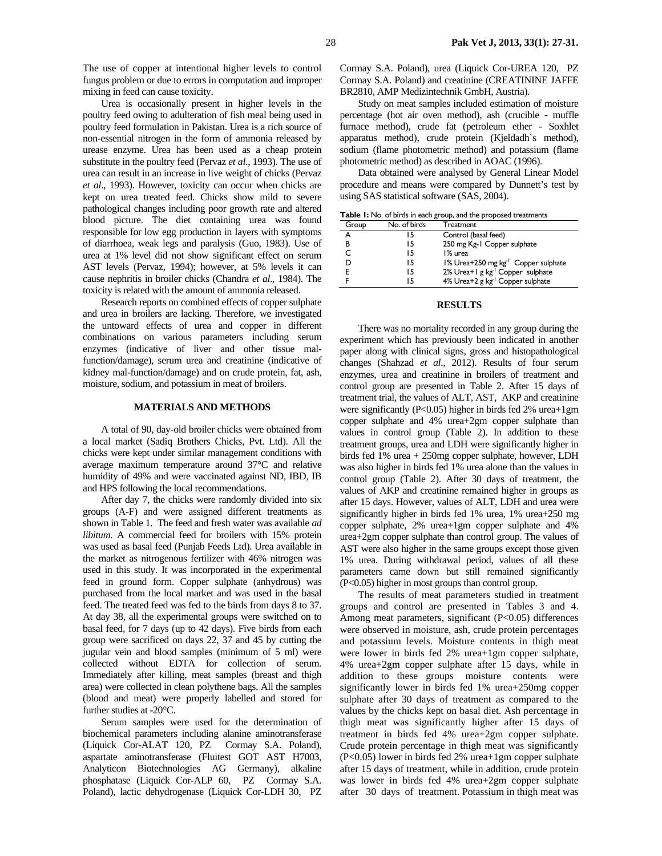The use of copper at intentional higher levels to control fungus problem or due to errors in computation and improper mixing in feed can cause toxicity.

Urea is occasionally present in higher levels in the poultry feed owing to adulteration of fish meal being used in poultry feed formulation in Pakistan. Urea is a rich source of non-essential nitrogen in the form of ammonia released by urease enzyme. Urea has been used as a cheap protein substitute in the poultry feed (Pervaz *et al*., 1993). The use of urea can result in an increase in live weight of chicks (Pervaz *et al*., 1993). However, toxicity can occur when chicks are kept on urea treated feed. Chicks show mild to severe pathological changes including poor growth rate and altered blood picture. The diet containing urea was found responsible for low egg production in layers with symptoms of diarrhoea, weak legs and paralysis (Guo, 1983). Use of urea at 1% level did not show significant effect on serum AST levels (Pervaz, 1994); however, at 5% levels it can cause nephritis in broiler chicks (Chandra *et al*., 1984). The toxicity is related with the amount of ammonia released.

Research reports on combined effects of copper sulphate and urea in broilers are lacking. Therefore, we investigated the untoward effects of urea and copper in different combinations on various parameters including serum enzymes (indicative of liver and other tissue malfunction/damage), serum urea and creatinine (indicative of kidney mal-function/damage) and on crude protein, fat, ash, moisture, sodium, and potassium in meat of broilers.

## **MATERIALS AND METHODS**

A total of 90, day-old broiler chicks were obtained from a local market (Sadiq Brothers Chicks, Pvt. Ltd). All the chicks were kept under similar management conditions with average maximum temperature around 37°C and relative humidity of 49% and were vaccinated against ND, IBD, IB and HPS following the local recommendations.

After day 7, the chicks were randomly divided into six groups (A-F) and were assigned different treatments as shown in Table 1. The feed and fresh water was available *ad libitum.* A commercial feed for broilers with 15% protein was used as basal feed (Punjab Feeds Ltd). Urea available in the market as nitrogenous fertilizer with 46% nitrogen was used in this study. It was incorporated in the experimental feed in ground form. Copper sulphate (anhydrous) was purchased from the local market and was used in the basal feed. The treated feed was fed to the birds from days 8 to 37. At day 38, all the experimental groups were switched on to basal feed, for 7 days (up to 42 days). Five birds from each group were sacrificed on days 22, 37 and 45 by cutting the jugular vein and blood samples (minimum of 5 ml) were collected without EDTA for collection of serum. Immediately after killing, meat samples (breast and thigh area) were collected in clean polythene bags. All the samples (blood and meat) were properly labelled and stored for further studies at -20°C.

Serum samples were used for the determination of biochemical parameters including alanine aminotransferase (Liquick Cor-ALAT 120, PZ Cormay S.A. Poland), aspartate aminotransferase (Fluitest GOT AST H7003, Analyticon Biotechnologies AG Germany), alkaline phosphatase (Liquick Cor-ALP 60, PZ Cormay S.A. Poland), lactic dehydrogenase (Liquick Cor-LDH 30, PZ

Cormay S.A. Poland), urea (Liquick Cor-UREA 120, PZ Cormay S.A. Poland) and creatinine (CREATININE JAFFE BR2810, AMP Medizintechnik GmbH, Austria).

Study on meat samples included estimation of moisture percentage (hot air oven method), ash (crucible - muffle furnace method), crude fat (petroleum ether - Soxhlet apparatus method), crude protein (Kjeldadh`s method), sodium (flame photometric method) and potassium (flame photometric method) as described in AOAC (1996).

Data obtained were analysed by General Linear Model procedure and means were compared by Dunnett's test by using SAS statistical software (SAS, 2004).

**Table 1:** No. of birds in each group, and the proposed treatments

| Group | No. of birds | Treatment                                       |
|-------|--------------|-------------------------------------------------|
| А     | 15           | Control (basal feed)                            |
| в     | 15           | 250 mg Kg-1 Copper sulphate                     |
|       | 15           | 1% urea                                         |
| D     | 15           | 1% Urea+250 mg kg <sup>-1</sup> Copper sulphate |
| F     | 15           | 2% Urea+1 g kg <sup>-1</sup> Copper sulphate    |
|       | 15           | 4% Urea+2 g kg <sup>-1</sup> Copper sulphate    |

#### **RESULTS**

There was no mortality recorded in any group during the experiment which has previously been indicated in another paper along with clinical signs, gross and histopathological changes (Shahzad *et al*., 2012). Results of four serum enzymes, urea and creatinine in broilers of treatment and control group are presented in Table 2. After 15 days of treatment trial, the values of ALT, AST, AKP and creatinine were significantly (P<0.05) higher in birds fed 2% urea+1gm copper sulphate and 4% urea+2gm copper sulphate than values in control group (Table 2). In addition to these treatment groups, urea and LDH were significantly higher in birds fed 1% urea + 250mg copper sulphate, however, LDH was also higher in birds fed 1% urea alone than the values in control group (Table 2). After 30 days of treatment, the values of AKP and creatinine remained higher in groups as after 15 days. However, values of ALT, LDH and urea were significantly higher in birds fed 1% urea, 1% urea+250 mg copper sulphate, 2% urea+1gm copper sulphate and 4% urea+2gm copper sulphate than control group. The values of AST were also higher in the same groups except those given 1% urea. During withdrawal period, values of all these parameters came down but still remained significantly (P<0.05) higher in most groups than control group.

The results of meat parameters studied in treatment groups and control are presented in Tables 3 and 4. Among meat parameters, significant (P<0.05) differences were observed in moisture, ash, crude protein percentages and potassium levels. Moisture contents in thigh meat were lower in birds fed 2% urea+1gm copper sulphate, 4% urea+2gm copper sulphate after 15 days, while in addition to these groups moisture contents were significantly lower in birds fed 1% urea+250mg copper sulphate after 30 days of treatment as compared to the values by the chicks kept on basal diet. Ash percentage in thigh meat was significantly higher after 15 days of treatment in birds fed 4% urea+2gm copper sulphate. Crude protein percentage in thigh meat was significantly (P<0.05) lower in birds fed 2% urea+1gm copper sulphate after 15 days of treatment, while in addition, crude protein was lower in birds fed 4% urea+2gm copper sulphate after 30 days of treatment. Potassium in thigh meat was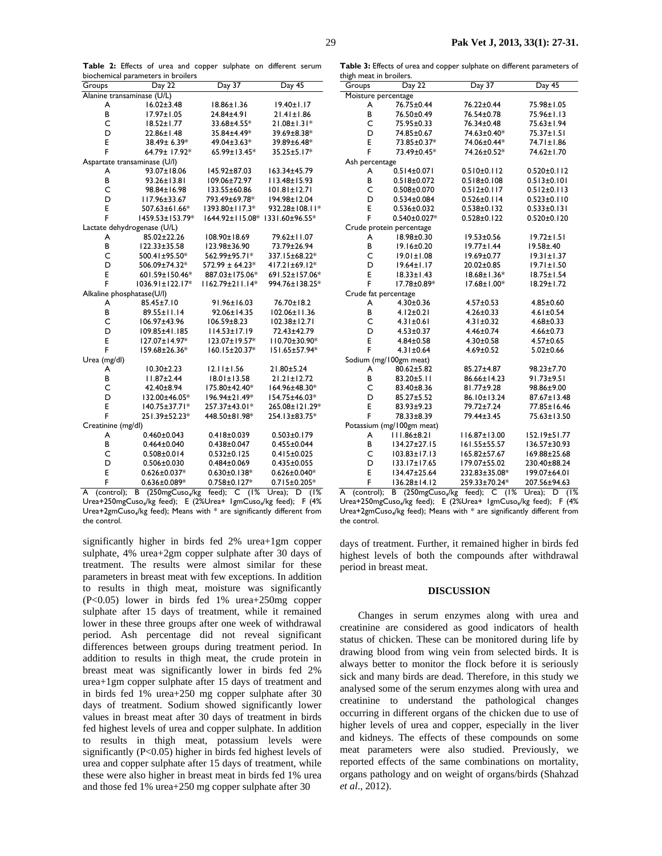Table 2: Effects of urea and copper sulphate on different serum biochemical parameters in broilers

| Groups                     | Day 22                       | Day 37                | Day 45             |  |  |
|----------------------------|------------------------------|-----------------------|--------------------|--|--|
| Alanine transaminase (U/L) |                              |                       |                    |  |  |
| A                          | $16.02 \pm 3.48$             | $18.86 \pm 1.36$      | $19.40 \pm 1.17$   |  |  |
| в                          | $17.97 \pm 1.05$             | 24.84±4.91            | $21.41 \pm 1.86$   |  |  |
| C                          | $18.52 \pm 1.77$             | 33.68±4.55*           | $21.08 \pm 1.31*$  |  |  |
| D                          | 22.86±1.48                   | 35.84±4.49*           | 39.69±8.38*        |  |  |
| E                          | 38.49± 6.39*                 | 49.04±3.63*           | 39.89±6.48*        |  |  |
| F                          | 64.79± 17.92*                | 65.99±13.45*          | 35.25±5.17*        |  |  |
|                            | Aspartate transaminase (U/I) |                       |                    |  |  |
| A                          | 93.07±18.06                  | 145.92±87.03          | 163.34±45.79       |  |  |
| B                          | 93.26±13.81                  | 109.06±72.97          | II3.48±15.93       |  |  |
| C                          | 98.84±16.98                  | 133.55±60.86          | $101.81 \pm 12.71$ |  |  |
| D                          | II7.96±33.67                 | 793.49±69.78*         | 194.98±12.04       |  |  |
| E                          | 507.63±61.66*                | 1393.80±117.3*        | 932.28±108.11*     |  |  |
| F                          | 1459.53±153.79*              | 1644.92±115.08*       | 1331.60±96.55*     |  |  |
|                            | Lactate dehydrogenase (U/L)  |                       |                    |  |  |
| A                          | 85.02±22.26                  | 108.90±18.69          | 79.62±11.07        |  |  |
| B                          | 122.33±35.58                 | 123.98±36.90          | 73.79±26.94        |  |  |
| C                          | 500.41±95.50*                | 562.99±95.71*         | 337.15±68.22*      |  |  |
| D                          | 506.09±74.32*                | $572.99 \pm 64.23*$   | 417.21±69.12*      |  |  |
| E                          | 601.59±150.46*               | 887.03±175.06*        | 691.52±157.06*     |  |  |
| F                          | 1036.91±122.17*              | $1162.79 \pm 211.14*$ | 994.76±138.25*     |  |  |
| Alkaline phosphatase(U/l)  |                              |                       |                    |  |  |
| A                          | 85.45±7.10                   | 91.96±16.03           | 76.70±18.2         |  |  |
| B                          | 89.55±11.14                  | 92.06±14.35           | 102.06±11.36       |  |  |
| C                          | 106.97±43.96                 | $106.59 \pm 8.23$     | 102.38±12.71       |  |  |
| D                          | 109.85±41.185                | $114.53 \pm 17.19$    | 72.43±42.79        |  |  |
| E                          | 127.07±14.97*                | 123.07±19.57*         | II0.70±30.90*      |  |  |
| F                          | 159.68±26.36*                | 160.15±20.37*         | 151.65±57.94*      |  |  |
| Urea (mg/dl)               |                              |                       |                    |  |  |
| A                          | $10.30 \pm 2.23$             | $12.11 \pm 1.56$      | 21.80±5.24         |  |  |
| B                          | $11.87 \pm 2.44$             | $18.01 \pm 13.58$     | $21.21 \pm 12.72$  |  |  |
| Ċ                          | 42.40±8.94                   | 175.80±42.40*         | 164.96±48.30*      |  |  |
| D                          | 132.00±46.05*                | 196.94±21.49*         | 154.75±46.03*      |  |  |
| E                          | 140.75±37.71*                | 257.37±43.01*         | 265.08±121.29*     |  |  |
| F                          | 251.39±52.23*                | 448.50±81.98*         | 254.13±83.75*      |  |  |
| Creatinine (mg/dl)         |                              |                       |                    |  |  |
| A                          | $0.460 \pm 0.043$            | $0.418 \pm 0.039$     | $0.503 \pm 0.179$  |  |  |
| B                          | $0.464 \pm 0.040$            | $0.438 \pm 0.047$     | $0.455 \pm 0.044$  |  |  |
| C                          | $0.508 \pm 0.014$            | $0.532 \pm 0.125$     | $0.415 \pm 0.025$  |  |  |
| D                          | $0.506 \pm 0.030$            | $0.484 \pm 0.069$     | $0.435 \pm 0.055$  |  |  |
| E                          | $0.626 \pm 0.037*$           | $0.630 \pm 0.138*$    | $0.626 \pm 0.040*$ |  |  |
| F                          | $0.636 \pm 0.089*$           | $0.758 \pm 0.127*$    | $0.715 \pm 0.205*$ |  |  |

A (control); B (250mgCuso<sub>4</sub>/kg feed); C (1% Urea); D (1% Urea+250mgCuso<sub>4</sub>/kg feed); E (2%Urea+ 1gmCuso<sub>4</sub>/kg feed); F (4% Urea+2gmCuso<sub>4</sub>/kg feed); Means with \* are significantly different from the control.

significantly higher in birds fed 2% urea+1gm copper sulphate, 4% urea+2gm copper sulphate after 30 days of treatment. The results were almost similar for these parameters in breast meat with few exceptions. In addition to results in thigh meat, moisture was significantly  $(P<0.05)$  lower in birds fed 1% urea+250mg copper sulphate after 15 days of treatment, while it remained lower in these three groups after one week of withdrawal period. Ash percentage did not reveal significant differences between groups during treatment period. In addition to results in thigh meat, the crude protein in breast meat was significantly lower in birds fed 2% urea+1gm copper sulphate after 15 days of treatment and in birds fed 1% urea+250 mg copper sulphate after 30 days of treatment. Sodium showed significantly lower values in breast meat after 30 days of treatment in birds fed highest levels of urea and copper sulphate. In addition to results in thigh meat, potassium levels were significantly  $(P<0.05)$  higher in birds fed highest levels of urea and copper sulphate after 15 days of treatment, while these were also higher in breast meat in birds fed 1% urea and those fed 1% urea+250 mg copper sulphate after 30

Table 3: Effects of urea and copper sulphate on different parameters of thigh meat in broilers

| iliğli meat ili bi ollers. |                           |                   |                   |  |  |
|----------------------------|---------------------------|-------------------|-------------------|--|--|
| Groups                     | Day 22                    | Day 37            | Day 45            |  |  |
| Moisture percentage        |                           |                   |                   |  |  |
| A                          | 76.75±0.44                | 76.22±0.44        | 75.98±1.05        |  |  |
| В                          | 76.50±0.49                | 76.54±0.78        | 75.96±1.13        |  |  |
| C                          | 75.95±0.33                | 76.34±0.48        | 75.63±1.94        |  |  |
| D                          | 74.85±0.67                | 74.63±0.40*       | 75.37±1.51        |  |  |
| E                          | 73.85±0.37*               | 74.06±0.44*       | 74.71±1.86        |  |  |
| F                          | 73.49±0.45*               | 74.26±0.52*       | 74.62±1.70        |  |  |
| Ash percentage             |                           |                   |                   |  |  |
| A                          | $0.514 \pm 0.071$         | $0.510 \pm 0.112$ | $0.520 \pm 0.112$ |  |  |
| В                          | $0.518 \pm 0.072$         | $0.518 \pm 0.108$ | $0.513 \pm 0.101$ |  |  |
| C                          | $0.508 \pm 0.070$         | $0.512 \pm 0.117$ | $0.512 \pm 0.113$ |  |  |
| D                          | $0.534 \pm 0.084$         | $0.526 \pm 0.114$ | $0.523 \pm 0.110$ |  |  |
| E                          | $0.536 \pm 0.032$         | $0.538 \pm 0.132$ | $0.533 \pm 0.131$ |  |  |
| F                          | 0.540±0.027*              | $0.528 \pm 0.122$ | $0.520 \pm 0.120$ |  |  |
|                            | Crude protein percentage  |                   |                   |  |  |
| A                          | 18.98±0.30                | $19.53 \pm 0.56$  | $19.72 \pm 1.51$  |  |  |
| В                          | 19.16±0.20                | $19.77 \pm 1.44$  | 19.58±.40         |  |  |
| C                          | 19.01±1.08                | 19.69±0.77        | $19.31 \pm 1.37$  |  |  |
| D                          | $19.64 \pm 1.17$          | 20.02±0.85        | $19.71 \pm 1.50$  |  |  |
| E                          | $18.33 \pm 1.43$          | 18.68±1.36*       | $18.75 \pm 1.54$  |  |  |
| F                          | 17.78±0.89*               | 17.68±1.00*       | 18.29±1.72        |  |  |
| Crude fat percentage       |                           |                   |                   |  |  |
| A                          | $4.30 \pm 0.36$           | $4.57 \pm 0.53$   | $4.85 \pm 0.60$   |  |  |
| в                          | $4.12 \pm 0.21$           | $4.26 \pm 0.33$   | $4.61 \pm 0.54$   |  |  |
| C                          | $4.31 \pm 0.61$           | $4.31 \pm 0.32$   | $4.68 \pm 0.33$   |  |  |
| D                          | $4.53 \pm 0.37$           | 4.46±0.74         | $4.66 \pm 0.73$   |  |  |
| E                          | $4.84 \pm 0.58$           | $4.30 \pm 0.58$   | $4.57 \pm 0.65$   |  |  |
| F                          | $4.31 \pm 0.64$           | $4.69 \pm 0.52$   | $5.02 \pm 0.66$   |  |  |
| Sodium (mg/100gm meat)     |                           |                   |                   |  |  |
| А                          | 80.62±5.82                | 85.27±4.87        | 98.23±7.70        |  |  |
| B                          | 83.20±5.11                | 86.66±14.23       | 91.73±9.51        |  |  |
| C                          | 83.40±8.36                | 81.77±9.28        | 98.86±9.00        |  |  |
| D                          | 85.27±5.52                | 86.10±13.24       | 87.67±13.48       |  |  |
| E                          | 83.93±9.23                | 79.72±7.24        | 77.85±16.46       |  |  |
| F                          | 78.33±8.39                | 79.44±3.45        | 75.63±13.50       |  |  |
|                            | Potassium (mg/100gm meat) |                   |                   |  |  |
| A                          | 111.86±8.21               | 116.87±13.00      | 152.19±51.77      |  |  |
| B                          | 134.27±27.15              | I61.55±55.57      | 136.57±30.93      |  |  |
| C                          | $103.83 \pm 17.13$        | 165.82±57.67      | 169.88±25.68      |  |  |
| D                          | 133.17±17.65              | 179.07±55.02      | 230.40±88.24      |  |  |
| E                          | 134.47±25.64              | 232.83±35.08*     | 199.07±64.01      |  |  |
| F                          | 136.28±14.12              | 259.33±70.24*     | 207.56±94.63      |  |  |
|                            |                           |                   |                   |  |  |

A (control); B (250mgCuso<sub>4</sub>/kg feed); C (1% Urea); D (1% Urea+250mgCuso<sub>4</sub>/kg feed); E (2%Urea+ 1gmCuso<sub>4</sub>/kg feed); F (4% Urea+2gmCuso4/kg feed); Means with \* are significantly different from the control.

days of treatment. Further, it remained higher in birds fed highest levels of both the compounds after withdrawal period in breast meat.

#### **DISCUSSION**

Changes in serum enzymes along with urea and creatinine are considered as good indicators of health status of chicken. These can be monitored during life by drawing blood from wing vein from selected birds. It is always better to monitor the flock before it is seriously sick and many birds are dead. Therefore, in this study we analysed some of the serum enzymes along with urea and creatinine to understand the pathological changes occurring in different organs of the chicken due to use of higher levels of urea and copper, especially in the liver and kidneys. The effects of these compounds on some meat parameters were also studied. Previously, we reported effects of the same combinations on mortality, organs pathology and on weight of organs/birds (Shahzad et al., 2012).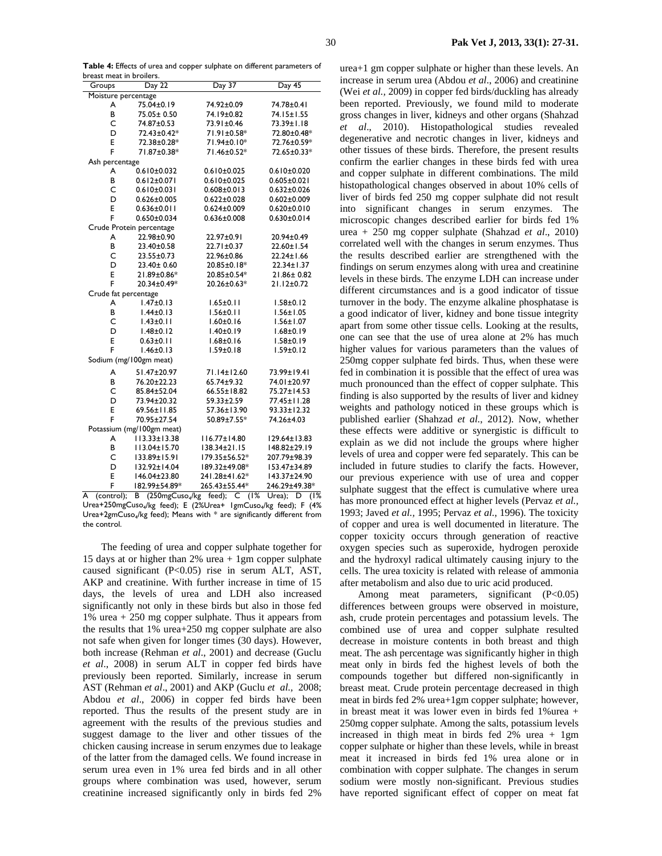**Table 4:** Effects of urea and copper sulphate on different parameters of breast meat in broilers.

| DI CASE HICAE III DI OIICI S. |                           |                    |                    |  |  |  |
|-------------------------------|---------------------------|--------------------|--------------------|--|--|--|
| Groups                        | Day 22                    | Day 37             | $Day\overline{45}$ |  |  |  |
| Moisture percentage           |                           |                    |                    |  |  |  |
| A                             | 75.04±0.19                | 74.92±0.09         | 74.78±0.41         |  |  |  |
| B                             | 75.05± 0.50               | 74.19±0.82         | 74.15±1.55         |  |  |  |
| C                             | 74.87±0.53                | 73.91±0.46         | 73.39±1.18         |  |  |  |
| D                             | 72.43±0.42*               | 71.91±0.58*        | 72.80±0.48*        |  |  |  |
| E                             | 72.38±0.28*               | 71.94±0.10*        | 72.76±0.59*        |  |  |  |
| F                             | 71.87±0.38*               | 71.46±0.52*        | 72.65±0.33*        |  |  |  |
| Ash percentage                |                           |                    |                    |  |  |  |
| A                             | $0.610\pm0.032$           | $0.610 \pm 0.025$  | $0.610 \pm 0.020$  |  |  |  |
| B                             | $0.612 \pm 0.071$         | $0.610\pm0.025$    | $0.605 \pm 0.021$  |  |  |  |
| C                             | $0.610 \pm 0.031$         | $0.608 \pm 0.013$  | $0.632 \pm 0.026$  |  |  |  |
| D                             | $0.626 \pm 0.005$         | $0.622 \pm 0.028$  | $0.602 \pm 0.009$  |  |  |  |
| E                             | $0.636 \pm 0.011$         | $0.624 \pm 0.009$  | $0.620 \pm 0.010$  |  |  |  |
| F                             | $0.650 \pm 0.034$         | $0.636 \pm 0.008$  | $0.630 \pm 0.014$  |  |  |  |
|                               | Crude Protein percentage  |                    |                    |  |  |  |
| A                             | 22.98±0.90                | 22.97±0.91         | 20.94±0.49         |  |  |  |
| В                             | 23.40±0.58                | 22.71±0.37         | 22.60±1.54         |  |  |  |
| C                             | 23.55±0.73                | 22.96±0.86         | 22.24±1.66         |  |  |  |
| D                             | 23.40± 0.60               | 20.85±0.18*        | 22.34±1.37         |  |  |  |
| E                             | 21.89±0.86*               | 20.85±0.54*        | 21.86±0.82         |  |  |  |
| F                             | 20.34±0.49*               | 20.26±0.63*        | 21.12±0.72         |  |  |  |
| Crude fat percentage          |                           |                    |                    |  |  |  |
| A                             | $1.47 \pm 0.13$           | $1.65 \pm 0.11$    | $1.58 \pm 0.12$    |  |  |  |
| В                             | $1.44 \pm 0.13$           | $1.56 \pm 0.11$    | $1.56 \pm 1.05$    |  |  |  |
| Ċ                             | $1.43 \pm 0.11$           | $1.60 \pm 0.16$    | $1.56 \pm 1.07$    |  |  |  |
| D                             | $1.48 \pm 0.12$           | $1.40 \pm 0.19$    | $1.68 \pm 0.19$    |  |  |  |
| E                             | $0.63 \pm 0.11$           | $1.68 \pm 0.16$    | $1.58 \pm 0.19$    |  |  |  |
| F                             | $1.46 \pm 0.13$           | $1.59 \pm 0.18$    | $1.59 \pm 0.12$    |  |  |  |
| Sodium (mg/100gm meat)        |                           |                    |                    |  |  |  |
| A                             | 51.47±20.97               | 71.14±12.60        | 73.99±19.41        |  |  |  |
| В                             | 76.20±22.23               | 65.74±9.32         | 74.01±20.97        |  |  |  |
| C                             | 85.84±52.04               | 66.55±18.82        | 75.27±14.53        |  |  |  |
| D                             | 73.94±20.32               | 59.33±2.59         | 77.45±11.28        |  |  |  |
| E                             | 69.56±11.85               | 57.36±13.90        | $93.33 \pm 12.32$  |  |  |  |
| F                             | 70.95±27.54               | 50.89±7.55*        | 74.26±4.03         |  |  |  |
|                               | Potassium (mg/100gm meat) |                    |                    |  |  |  |
| A                             | $113.33 \pm 13.38$        | $116.77 \pm 14.80$ | 129.64±13.83       |  |  |  |
| B                             | II3.04±15.70              | 138.34±21.15       | 148.82±29.19       |  |  |  |
| Ċ                             | 133.89±15.91              | 179.35±56.52*      | 207.79±98.39       |  |  |  |
| D                             | 132.92±14.04              | 189.32±49.08*      | 153.47±34.89       |  |  |  |
| E                             | 146.04±23.80              | 241.28±41.62*      | 143.37±24.90       |  |  |  |
| F                             | 182.99±54.89*             | 265.43±55.44*      | 246.29±49.38*      |  |  |  |
|                               |                           |                    |                    |  |  |  |

A (control); B (250mgCuso4/kg feed); C (1% Urea); D (1% Urea+250mgCuso<sub>4</sub>/kg feed); E (2%Urea+ 1gmCuso<sub>4</sub>/kg feed); F (4% Urea+2gmCuso4/kg feed); Means with \* are significantly different from the control.

The feeding of urea and copper sulphate together for 15 days at or higher than 2% urea + 1gm copper sulphate caused significant (P<0.05) rise in serum ALT, AST, AKP and creatinine. With further increase in time of 15 days, the levels of urea and LDH also increased significantly not only in these birds but also in those fed 1% urea + 250 mg copper sulphate. Thus it appears from the results that 1% urea+250 mg copper sulphate are also not safe when given for longer times (30 days). However, both increase (Rehman *et al*., 2001) and decrease (Guclu *et al*., 2008) in serum ALT in copper fed birds have previously been reported. Similarly, increase in serum AST (Rehman *et al*., 2001) and AKP (Guclu *et al.,* 2008; Abdou *et al*., 2006) in copper fed birds have been reported. Thus the results of the present study are in agreement with the results of the previous studies and suggest damage to the liver and other tissues of the chicken causing increase in serum enzymes due to leakage of the latter from the damaged cells. We found increase in serum urea even in 1% urea fed birds and in all other groups where combination was used, however, serum creatinine increased significantly only in birds fed 2%

urea+1 gm copper sulphate or higher than these levels. An increase in serum urea (Abdou *et al*., 2006) and creatinine (Wei *et al.,* 2009) in copper fed birds/duckling has already been reported. Previously, we found mild to moderate gross changes in liver, kidneys and other organs (Shahzad *et al*., 2010). Histopathological studies revealed degenerative and necrotic changes in liver, kidneys and other tissues of these birds. Therefore, the present results confirm the earlier changes in these birds fed with urea and copper sulphate in different combinations. The mild histopathological changes observed in about 10% cells of liver of birds fed 250 mg copper sulphate did not result into significant changes in serum enzymes. The microscopic changes described earlier for birds fed 1% urea + 250 mg copper sulphate (Shahzad *et al*., 2010) correlated well with the changes in serum enzymes. Thus the results described earlier are strengthened with the findings on serum enzymes along with urea and creatinine levels in these birds. The enzyme LDH can increase under different circumstances and is a good indicator of tissue turnover in the body. The enzyme alkaline phosphatase is a good indicator of liver, kidney and bone tissue integrity apart from some other tissue cells. Looking at the results, one can see that the use of urea alone at 2% has much higher values for various parameters than the values of 250mg copper sulphate fed birds. Thus, when these were fed in combination it is possible that the effect of urea was much pronounced than the effect of copper sulphate. This finding is also supported by the results of liver and kidney weights and pathology noticed in these groups which is published earlier (Shahzad *et al.*, 2012). Now, whether these effects were additive or synergistic is difficult to explain as we did not include the groups where higher levels of urea and copper were fed separately. This can be included in future studies to clarify the facts. However, our previous experience with use of urea and copper sulphate suggest that the effect is cumulative where urea has more pronounced effect at higher levels (Pervaz *et al.,* 1993; Javed *et al.,* 1995; Pervaz *et al.*, 1996). The toxicity of copper and urea is well documented in literature. The copper toxicity occurs through generation of reactive oxygen species such as superoxide, hydrogen peroxide and the hydroxyl radical ultimately causing injury to the cells. The urea toxicity is related with release of ammonia after metabolism and also due to uric acid produced.

Among meat parameters, significant (P<0.05) differences between groups were observed in moisture, ash, crude protein percentages and potassium levels. The combined use of urea and copper sulphate resulted decrease in moisture contents in both breast and thigh meat. The ash percentage was significantly higher in thigh meat only in birds fed the highest levels of both the compounds together but differed non-significantly in breast meat. Crude protein percentage decreased in thigh meat in birds fed 2% urea+1gm copper sulphate; however, in breast meat it was lower even in birds fed 1%urea + 250mg copper sulphate. Among the salts, potassium levels increased in thigh meat in birds fed 2% urea + 1gm copper sulphate or higher than these levels, while in breast meat it increased in birds fed 1% urea alone or in combination with copper sulphate. The changes in serum sodium were mostly non-significant. Previous studies have reported significant effect of copper on meat fat